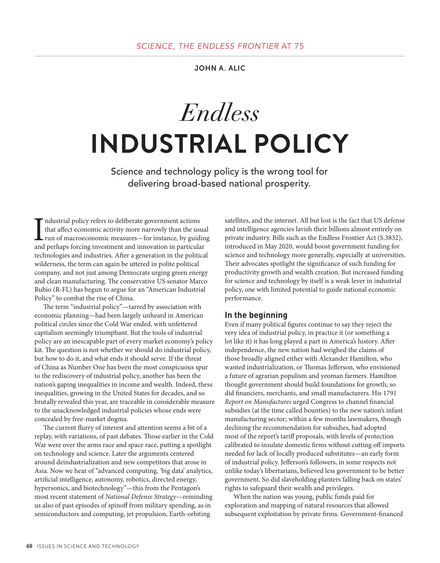JOHN A. ALIC

Endless **INDUSTRIAL POLICY**

Science and technology policy is the wrong tool for delivering broad-based national prosperity.

Industrial policy refers to deliberate government actions<br>that affect economic activity more narrowly than the usua<br>run of macroeconomic measures—for instance, by guidin<br>and perhaps forcing investment and innovation in par ndustrial policy refers to deliberate government actions that affect economic activity more narrowly than the usual run of macroeconomic measures—for instance, by guiding technologies and industries. After a generation in the political wilderness, the term can again be uttered in polite political company, and not just among Democrats urging green energy and clean manufacturing. The conservative US senator Marco Rubio (R-FL) has begun to argue for an "American Industrial Policy" to combat the rise of China.

The term "industrial policy"—tarred by association with economic planning—had been largely unheard in American political circles since the Cold War ended, with unfettered capitalism seemingly triumphant. But the tools of industrial policy are an inescapable part of every market economy's policy kit. The question is not whether we should do industrial policy, but how to do it, and what ends it should serve. If the threat of China as Number One has been the most conspicuous spur to the rediscovery of industrial policy, another has been the nation's gaping inequalities in income and wealth. Indeed, these inequalities, growing in the United States for decades, and so brutally revealed this year, are traceable in considerable measure to the unacknowledged industrial policies whose ends were concealed by free-market dogma.

The current flurry of interest and attention seems a bit of a replay, with variations, of past debates. Those earlier in the Cold War were over the arms race and space race, putting a spotlight on technology and science. Later the arguments centered around deindustrialization and new competitors that arose in Asia. Now we hear of "advanced computing, 'big data' analytics, artificial intelligence, autonomy, robotics, directed energy, hypersonics, and biotechnology"—this from the Pentagon's most recent statement of *National Defense Strategy*—reminding us also of past episodes of spinoff from military spending, as in semiconductors and computing, jet propulsion, Earth-orbiting

satellites, and the internet. All but lost is the fact that US defense and intelligence agencies lavish their billions almost entirely on private industry. Bills such as the Endless Frontier Act (S.3832), introduced in May 2020, would boost government funding for science and technology more generally, especially at universities. Their advocates spotlight the significance of such funding for productivity growth and wealth creation. But increased funding for science and technology by itself is a weak lever in industrial policy, one with limited potential to guide national economic performance.

#### **In the beginning**

Even if many political figures continue to say they reject the very idea of industrial policy, in practice it (or something a lot like it) it has long played a part in America's history. After independence, the new nation had weighed the claims of those broadly aligned either with Alexander Hamilton, who wanted industrialization, or Thomas Jefferson, who envisioned a future of agrarian populism and yeoman farmers. Hamilton thought government should build foundations for growth; so did financiers, merchants, and small manufacturers. His 1791 *Report on Manufactures* urged Congress to channel financial subsidies (at the time called bounties) to the new nation's infant manufacturing sector; within a few months lawmakers, though declining the recommendation for subsidies, had adopted most of the report's tariff proposals, with levels of protection calibrated to insulate domestic firms without cutting off imports needed for lack of locally produced substitutes—an early form of industrial policy. Jefferson's followers, in some respects not unlike today's libertarians, believed less government to be better government. So did slaveholding planters falling back on states' rights to safeguard their wealth and privileges.

When the nation was young, public funds paid for exploration and mapping of natural resources that allowed subsequent exploitation by private firms. Government-financed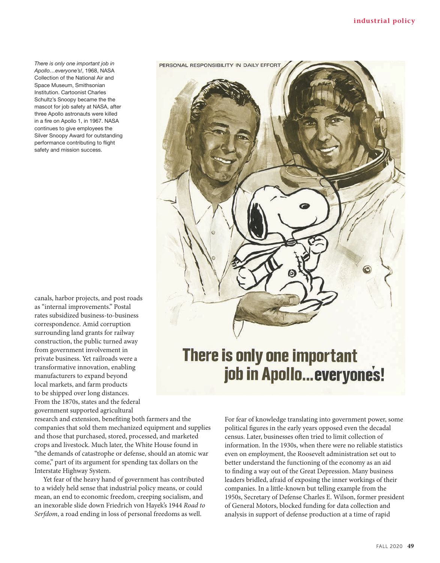*There is only one important job in Apollo…everyone's!*, 1968, NASA Collection of the National Air and Space Museum, Smithsonian Institution. Cartoonist Charles Schultz's Snoopy became the the mascot for job safety at NASA, after three Apollo astronauts were killed in a fire on Apollo 1, in 1967. NASA continues to give employees the Silver Snoopy Award for outstanding performance contributing to flight safety and mission success.

canals, harbor projects, and post roads as "internal improvements." Postal rates subsidized business-to-business correspondence. Amid corruption surrounding land grants for railway construction, the public turned away from government involvement in private business. Yet railroads were a transformative innovation, enabling manufacturers to expand beyond local markets, and farm products to be shipped over long distances. From the 1870s, states and the federal government supported agricultural

research and extension, benefiting both farmers and the companies that sold them mechanized equipment and supplies and those that purchased, stored, processed, and marketed crops and livestock. Much later, the White House found in "the demands of catastrophe or defense, should an atomic war come," part of its argument for spending tax dollars on the Interstate Highway System.

Yet fear of the heavy hand of government has contributed to a widely held sense that industrial policy means, or could mean, an end to economic freedom, creeping socialism, and an inexorable slide down Friedrich von Hayek's 1944 *Road to Serfdom*, a road ending in loss of personal freedoms as well.



# **There is only one important** job in Apollo...everyones!

For fear of knowledge translating into government power, some political figures in the early years opposed even the decadal census. Later, businesses often tried to limit collection of information. In the 1930s, when there were no reliable statistics even on employment, the Roosevelt administration set out to better understand the functioning of the economy as an aid to finding a way out of the Great Depression. Many business leaders bridled, afraid of exposing the inner workings of their companies. In a little-known but telling example from the 1950s, Secretary of Defense Charles E. Wilson, former president of General Motors, blocked funding for data collection and analysis in support of defense production at a time of rapid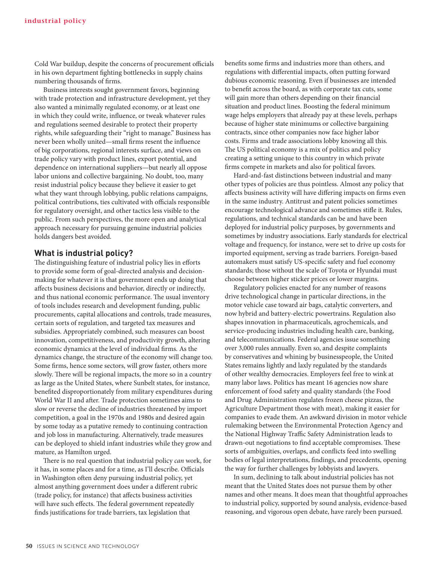Cold War buildup, despite the concerns of procurement officials in his own department fighting bottlenecks in supply chains numbering thousands of firms.

Business interests sought government favors, beginning with trade protection and infrastructure development, yet they also wanted a minimally regulated economy, or at least one in which they could write, influence, or tweak whatever rules and regulations seemed desirable to protect their property rights, while safeguarding their "right to manage." Business has never been wholly united—small firms resent the influence of big corporations, regional interests surface, and views on trade policy vary with product lines, export potential, and dependence on international suppliers—but nearly all oppose labor unions and collective bargaining. No doubt, too, many resist industrial policy because they believe it easier to get what they want through lobbying, public relations campaigns, political contributions, ties cultivated with officials responsible for regulatory oversight, and other tactics less visible to the public. From such perspectives, the more open and analytical approach necessary for pursuing genuine industrial policies holds dangers best avoided.

# **What is industrial policy?**

The distinguishing feature of industrial policy lies in efforts to provide some form of goal-directed analysis and decisionmaking for whatever it is that government ends up doing that affects business decisions and behavior, directly or indirectly, and thus national economic performance. The usual inventory of tools includes research and development funding, public procurements, capital allocations and controls, trade measures, certain sorts of regulation, and targeted tax measures and subsidies. Appropriately combined, such measures can boost innovation, competitiveness, and productivity growth, altering economic dynamics at the level of individual firms. As the dynamics change, the structure of the economy will change too. Some firms, hence some sectors, will grow faster, others more slowly. There will be regional impacts, the more so in a country as large as the United States, where Sunbelt states, for instance, benefited disproportionately from military expenditures during World War II and after. Trade protection sometimes aims to slow or reverse the decline of industries threatened by import competition, a goal in the 1970s and 1980s and desired again by some today as a putative remedy to continuing contraction and job loss in manufacturing. Alternatively, trade measures can be deployed to shield infant industries while they grow and mature, as Hamilton urged.

There is no real question that industrial policy *can* work, for it has, in some places and for a time, as I'll describe. Officials in Washington often deny pursuing industrial policy, yet almost anything government does under a different rubric (trade policy, for instance) that affects business activities will have such effects. The federal government repeatedly finds justifications for trade barriers, tax legislation that

benefits some firms and industries more than others, and regulations with differential impacts, often putting forward dubious economic reasoning. Even if businesses are intended to benefit across the board, as with corporate tax cuts, some will gain more than others depending on their financial situation and product lines. Boosting the federal minimum wage helps employers that already pay at these levels, perhaps because of higher state minimums or collective bargaining contracts, since other companies now face higher labor costs. Firms and trade associations lobby knowing all this. The US political economy is a mix of politics and policy creating a setting unique to this country in which private firms compete in markets and also for political favors.

Hard-and-fast distinctions between industrial and many other types of policies are thus pointless. Almost any policy that affects business activity will have differing impacts on firms even in the same industry. Antitrust and patent policies sometimes encourage technological advance and sometimes stifle it. Rules, regulations, and technical standards can be and have been deployed for industrial policy purposes, by governments and sometimes by industry associations. Early standards for electrical voltage and frequency, for instance, were set to drive up costs for imported equipment, serving as trade barriers. Foreign-based automakers must satisfy US-specific safety and fuel economy standards; those without the scale of Toyota or Hyundai must choose between higher sticker prices or lower margins.

Regulatory policies enacted for any number of reasons drive technological change in particular directions, in the motor vehicle case toward air bags, catalytic converters, and now hybrid and battery-electric powertrains. Regulation also shapes innovation in pharmaceuticals, agrochemicals, and service-producing industries including health care, banking, and telecommunications. Federal agencies issue something over 3,000 rules annually. Even so, and despite complaints by conservatives and whining by businesspeople, the United States remains lightly and laxly regulated by the standards of other wealthy democracies. Employers feel free to wink at many labor laws. Politics has meant 16 agencies now share enforcement of food safety and quality standards (the Food and Drug Administration regulates frozen cheese pizzas, the Agriculture Department those with meat), making it easier for companies to evade them. An awkward division in motor vehicle rulemaking between the Environmental Protection Agency and the National Highway Traffic Safety Administration leads to drawn-out negotiations to find acceptable compromises. These sorts of ambiguities, overlaps, and conflicts feed into swelling bodies of legal interpretations, findings, and precedents, opening the way for further challenges by lobbyists and lawyers.

In sum, declining to talk about industrial policies has not meant that the United States does not pursue them by other names and other means. It does mean that thoughtful approaches to industrial policy, supported by sound analysis, evidence-based reasoning, and vigorous open debate, have rarely been pursued.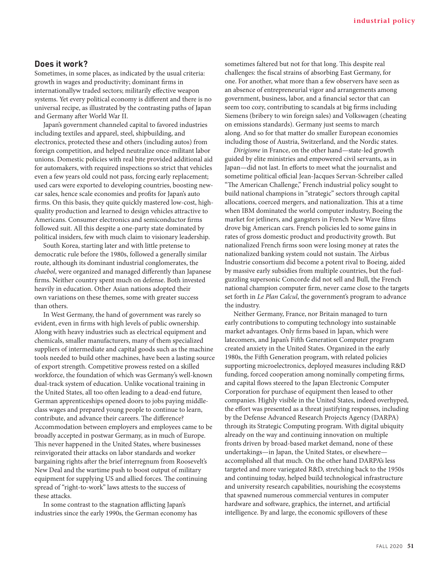## **Does it work?**

Sometimes, in some places, as indicated by the usual criteria: growth in wages and productivity; dominant firms in internationallyw traded sectors; militarily effective weapon systems. Yet every political economy is different and there is no universal recipe, as illustrated by the contrasting paths of Japan and Germany after World War II.

Japan's government channeled capital to favored industries including textiles and apparel, steel, shipbuilding, and electronics, protected these and others (including autos) from foreign competition, and helped neutralize once-militant labor unions. Domestic policies with real bite provided additional aid for automakers, with required inspections so strict that vehicles even a few years old could not pass, forcing early replacement; used cars were exported to developing countries, boosting newcar sales, hence scale economies and profits for Japan's auto firms. On this basis, they quite quickly mastered low-cost, highquality production and learned to design vehicles attractive to Americans. Consumer electronics and semiconductor firms followed suit. All this despite a one-party state dominated by political insiders, few with much claim to visionary leadership.

South Korea, starting later and with little pretense to democratic rule before the 1980s, followed a generally similar route, although its dominant industrial conglomerates, the *chaebol*, were organized and managed differently than Japanese firms. Neither country spent much on defense. Both invested heavily in education. Other Asian nations adopted their own variations on these themes, some with greater success than others.

In West Germany, the hand of government was rarely so evident, even in firms with high levels of public ownership. Along with heavy industries such as electrical equipment and chemicals, smaller manufacturers, many of them specialized suppliers of intermediate and capital goods such as the machine tools needed to build other machines, have been a lasting source of export strength. Competitive prowess rested on a skilled workforce, the foundation of which was Germany's well-known dual-track system of education. Unlike vocational training in the United States, all too often leading to a dead-end future, German apprenticeships opened doors to jobs paying middleclass wages and prepared young people to continue to learn, contribute, and advance their careers. The difference? Accommodation between employers and employees came to be broadly accepted in postwar Germany, as in much of Europe. This never happened in the United States, where businesses reinvigorated their attacks on labor standards and worker bargaining rights after the brief interregnum from Roosevelt's New Deal and the wartime push to boost output of military equipment for supplying US and allied forces. The continuing spread of "right-to-work" laws attests to the success of these attacks.

In some contrast to the stagnation afflicting Japan's industries since the early 1990s, the German economy has sometimes faltered but not for that long. This despite real challenges: the fiscal strains of absorbing East Germany, for one. For another, what more than a few observers have seen as an absence of entrepreneurial vigor and arrangements among government, business, labor, and a financial sector that can seem too cozy, contributing to scandals at big firms including Siemens (bribery to win foreign sales) and Volkswagen (cheating on emissions standards). Germany just seems to march along. And so for that matter do smaller European economies including those of Austria, Switzerland, and the Nordic states.

*Dirigisme* in France, on the other hand—state-led growth guided by elite ministries and empowered civil servants, as in Japan—did not last. In efforts to meet what the journalist and sometime political official Jean-Jacques Servan-Schreiber called "The American Challenge," French industrial policy sought to build national champions in "strategic" sectors through capital allocations, coerced mergers, and nationalization. This at a time when IBM dominated the world computer industry, Boeing the market for jetliners, and gangsters in French New Wave films drove big American cars. French policies led to some gains in rates of gross domestic product and productivity growth. But nationalized French firms soon were losing money at rates the nationalized banking system could not sustain. The Airbus Industrie consortium did become a potent rival to Boeing, aided by massive early subsidies from multiple countries, but the fuelguzzling supersonic Concorde did not sell and Bull, the French national champion computer firm, never came close to the targets set forth in *Le Plan Calcul*, the government's program to advance the industry.

Neither Germany, France, nor Britain managed to turn early contributions to computing technology into sustainable market advantages. Only firms based in Japan, which were latecomers, and Japan's Fifth Generation Computer program created anxiety in the United States. Organized in the early 1980s, the Fifth Generation program, with related policies supporting microelectronics, deployed measures including R&D funding, forced cooperation among nominally competing firms, and capital flows steered to the Japan Electronic Computer Corporation for purchase of equipment then leased to other companies. Highly visible in the United States, indeed overhyped, the effort was presented as a threat justifying responses, including by the Defense Advanced Research Projects Agency (DARPA) through its Strategic Computing program. With digital ubiquity already on the way and continuing innovation on multiple fronts driven by broad-based market demand, none of these undertakings—in Japan, the United States, or elsewhere accomplished all that much. On the other hand DARPA's less targeted and more variegated R&D, stretching back to the 1950s and continuing today, helped build technological infrastructure and university research capabilities, nourishing the ecosystems that spawned numerous commercial ventures in computer hardware and software, graphics, the internet, and artificial intelligence. By and large, the economic spillovers of these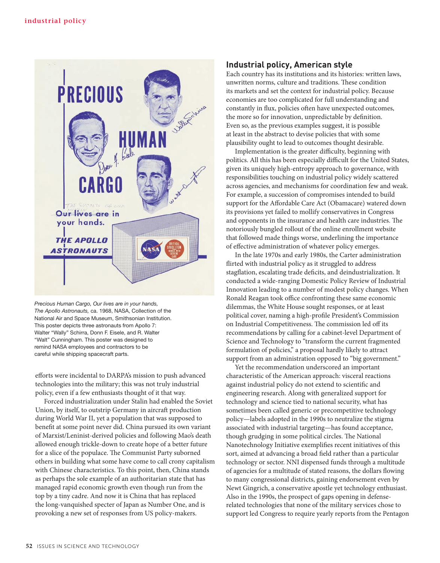

*Precious Human Cargo, Our lives are in your hands, The Apollo Astronauts,* ca. 1968, NASA, Collection of the National Air and Space Museum, Smithsonian Institution. This poster depicts three astronauts from Apollo 7: Walter "Wally" Schirra, Donn F. Eisele, and R. Walter "Walt" Cunningham. This poster was designed to remind NASA employees and contractors to be careful while shipping spacecraft parts.

efforts were incidental to DARPA's mission to push advanced technologies into the military; this was not truly industrial policy, even if a few enthusiasts thought of it that way.

Forced industrialization under Stalin had enabled the Soviet Union, by itself, to outstrip Germany in aircraft production during World War II, yet a population that was supposed to benefit at some point never did. China pursued its own variant of Marxist/Leninist-derived policies and following Mao's death allowed enough trickle-down to create hope of a better future for a slice of the populace. The Communist Party suborned others in building what some have come to call crony capitalism with Chinese characteristics. To this point, then, China stands as perhaps the sole example of an authoritarian state that has managed rapid economic growth even though run from the top by a tiny cadre. And now it is China that has replaced the long-vanquished specter of Japan as Number One, and is provoking a new set of responses from US policy-makers.

# **Industrial policy, American style**

Each country has its institutions and its histories: written laws, unwritten norms, culture and traditions. These condition its markets and set the context for industrial policy. Because economies are too complicated for full understanding and constantly in flux, policies often have unexpected outcomes, the more so for innovation, unpredictable by definition. Even so, as the previous examples suggest, it is possible at least in the abstract to devise policies that with some plausibility ought to lead to outcomes thought desirable.

Implementation is the greater difficulty, beginning with politics. All this has been especially difficult for the United States, given its uniquely high-entropy approach to governance, with responsibilities touching on industrial policy widely scattered across agencies, and mechanisms for coordination few and weak. For example, a succession of compromises intended to build support for the Affordable Care Act (Obamacare) watered down its provisions yet failed to mollify conservatives in Congress and opponents in the insurance and health care industries. The notoriously bungled rollout of the online enrollment website that followed made things worse, underlining the importance of effective administration of whatever policy emerges.

In the late 1970s and early 1980s, the Carter administration flirted with industrial policy as it struggled to address stagflation, escalating trade deficits, and deindustrialization. It conducted a wide-ranging Domestic Policy Review of Industrial Innovation leading to a number of modest policy changes. When Ronald Reagan took office confronting these same economic dilemmas, the White House sought responses, or at least political cover, naming a high-profile President's Commission on Industrial Competitiveness. The commission led off its recommendations by calling for a cabinet-level Department of Science and Technology to "transform the current fragmented formulation of policies," a proposal hardly likely to attract support from an administration opposed to "big government."

Yet the recommendation underscored an important characteristic of the American approach: visceral reactions against industrial policy do not extend to scientific and engineering research. Along with generalized support for technology and science tied to national security, what has sometimes been called generic or precompetitive technology policy—labels adopted in the 1990s to neutralize the stigma associated with industrial targeting—has found acceptance, though grudging in some political circles. The National Nanotechnology Initiative exemplifies recent initiatives of this sort, aimed at advancing a broad field rather than a particular technology or sector. NNI dispensed funds through a multitude of agencies for a multitude of stated reasons, the dollars flowing to many congressional districts, gaining endorsement even by Newt Gingrich, a conservative apostle yet technology enthusiast. Also in the 1990s, the prospect of gaps opening in defenserelated technologies that none of the military services chose to support led Congress to require yearly reports from the Pentagon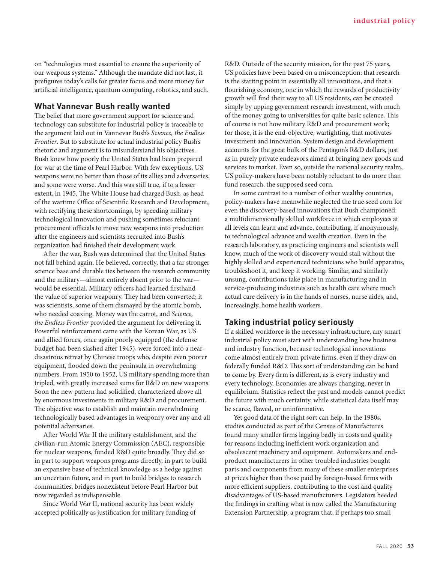on "technologies most essential to ensure the superiority of our weapons systems." Although the mandate did not last, it prefigures today's calls for greater focus and more money for artificial intelligence, quantum computing, robotics, and such.

### **What Vannevar Bush really wanted**

The belief that more government support for science and technology can substitute for industrial policy is traceable to the argument laid out in Vannevar Bush's *Science, the Endless Frontier*. But to substitute for actual industrial policy Bush's rhetoric and argument is to misunderstand his objectives. Bush knew how poorly the United States had been prepared for war at the time of Pearl Harbor. With few exceptions, US weapons were no better than those of its allies and adversaries, and some were worse. And this was still true, if to a lesser extent, in 1945. The White House had charged Bush, as head of the wartime Office of Scientific Research and Development, with rectifying these shortcomings, by speeding military technological innovation and pushing sometimes reluctant procurement officials to move new weapons into production after the engineers and scientists recruited into Bush's organization had finished their development work.

After the war, Bush was determined that the United States not fall behind again. He believed, correctly, that a far stronger science base and durable ties between the research community and the military—almost entirely absent prior to the war would be essential. Military officers had learned firsthand the value of superior weaponry. They had been converted; it was scientists, some of them dismayed by the atomic bomb, who needed coaxing. Money was the carrot, and *Science, the Endless Frontier* provided the argument for delivering it. Powerful reinforcement came with the Korean War, as US and allied forces, once again poorly equipped (the defense budget had been slashed after 1945), were forced into a neardisastrous retreat by Chinese troops who, despite even poorer equipment, flooded down the peninsula in overwhelming numbers. From 1950 to 1952, US military spending more than tripled, with greatly increased sums for R&D on new weapons. Soon the new pattern had solidified, characterized above all by enormous investments in military R&D and procurement. The objective was to establish and maintain overwhelming technologically based advantages in weaponry over any and all potential adversaries.

After World War II the military establishment, and the civilian-run Atomic Energy Commission (AEC), responsible for nuclear weapons, funded R&D quite broadly. They did so in part to support weapons programs directly, in part to build an expansive base of technical knowledge as a hedge against an uncertain future, and in part to build bridges to research communities, bridges nonexistent before Pearl Harbor but now regarded as indispensable.

Since World War II, national security has been widely accepted politically as justification for military funding of R&D. Outside of the security mission, for the past 75 years, US policies have been based on a misconception: that research is the starting point in essentially all innovations, and that a flourishing economy, one in which the rewards of productivity growth will find their way to all US residents, can be created simply by upping government research investment, with much of the money going to universities for quite basic science. This of course is not how military R&D and procurement work; for those, it is the end-objective, warfighting, that motivates investment and innovation. System design and development accounts for the great bulk of the Pentagon's R&D dollars, just as in purely private endeavors aimed at bringing new goods and services to market. Even so, outside the national security realm, US policy-makers have been notably reluctant to do more than fund research, the supposed seed corn.

In some contrast to a number of other wealthy countries, policy-makers have meanwhile neglected the true seed corn for even the discovery-based innovations that Bush championed: a multidimensionally skilled workforce in which employees at all levels can learn and advance, contributing, if anonymously, to technological advance and wealth creation. Even in the research laboratory, as practicing engineers and scientists well know, much of the work of discovery would stall without the highly skilled and experienced technicians who build apparatus, troubleshoot it, and keep it working. Similar, and similarly unsung, contributions take place in manufacturing and in service-producing industries such as health care where much actual care delivery is in the hands of nurses, nurse aides, and, increasingly, home health workers.

## **Taking industrial policy seriously**

If a skilled workforce is the necessary infrastructure, any smart industrial policy must start with understanding how business and industry function, because technological innovations come almost entirely from private firms, even if they draw on federally funded R&D. This sort of understanding can be hard to come by. Every firm is different, as is every industry and every technology. Economies are always changing, never in equilibrium. Statistics reflect the past and models cannot predict the future with much certainty, while statistical data itself may be scarce, flawed, or uninformative.

Yet good data of the right sort can help. In the 1980s, studies conducted as part of the Census of Manufactures found many smaller firms lagging badly in costs and quality for reasons including inefficient work organization and obsolescent machinery and equipment. Automakers and endproduct manufacturers in other troubled industries bought parts and components from many of these smaller enterprises at prices higher than those paid by foreign-based firms with more efficient suppliers, contributing to the cost and quality disadvantages of US-based manufacturers. Legislators heeded the findings in crafting what is now called the Manufacturing Extension Partnership, a program that, if perhaps too small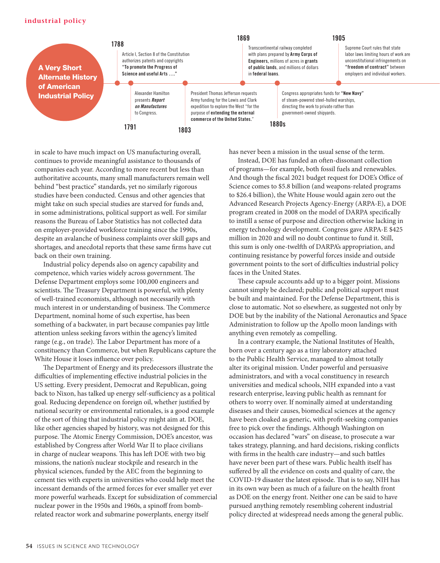#### **industrial policy**



in scale to have much impact on US manufacturing overall, continues to provide meaningful assistance to thousands of companies each year. According to more recent but less than authoritative accounts, many small manufacturers remain well behind "best practice" standards, yet no similarly rigorous studies have been conducted. Census and other agencies that might take on such special studies are starved for funds and, in some administrations, political support as well. For similar reasons the Bureau of Labor Statistics has not collected data on employer-provided workforce training since the 1990s, despite an avalanche of business complaints over skill gaps and shortages, and anecdotal reports that these same firms have cut back on their own training.

Industrial policy depends also on agency capability and competence, which varies widely across government. The Defense Department employs some 100,000 engineers and scientists. The Treasury Department is powerful, with plenty of well-trained economists, although not necessarily with much interest in or understanding of business. The Commerce Department, nominal home of such expertise, has been something of a backwater, in part because companies pay little attention unless seeking favors within the agency's limited range (e.g., on trade). The Labor Department has more of a constituency than Commerce, but when Republicans capture the White House it loses influence over policy.

The Department of Energy and its predecessors illustrate the difficulties of implementing effective industrial policies in the US setting. Every president, Democrat and Republican, going back to Nixon, has talked up energy self-sufficiency as a political goal. Reducing dependence on foreign oil, whether justified by national security or environmental rationales, is a good example of the sort of thing that industrial policy might aim at. DOE, like other agencies shaped by history, was not designed for this purpose. The Atomic Energy Commission, DOE's ancestor, was established by Congress after World War II to place civilians in charge of nuclear weapons. This has left DOE with two big missions, the nation's nuclear stockpile and research in the physical sciences, funded by the AEC from the beginning to cement ties with experts in universities who could help meet the incessant demands of the armed forces for ever smaller yet ever more powerful warheads. Except for subsidization of commercial nuclear power in the 1950s and 1960s, a spinoff from bombrelated reactor work and submarine powerplants, energy itself

has never been a mission in the usual sense of the term.

Instead, DOE has funded an often-dissonant collection of programs—for example, both fossil fuels and renewables. And though the fiscal 2021 budget request for DOE's Office of Science comes to \$5.8 billion (and weapons-related programs to \$26.4 billion), the White House would again zero out the Advanced Research Projects Agency-Energy (ARPA-E), a DOE program created in 2008 on the model of DARPA specifically to instill a sense of purpose and direction otherwise lacking in energy technology development. Congress gave ARPA-E \$425 million in 2020 and will no doubt continue to fund it. Still, this sum is only one-twelfth of DARPA's appropriation, and continuing resistance by powerful forces inside and outside government points to the sort of difficulties industrial policy faces in the United States.

These capsule accounts add up to a bigger point. Missions cannot simply be declared; public and political support must be built and maintained. For the Defense Department, this is close to automatic. Not so elsewhere, as suggested not only by DOE but by the inability of the National Aeronautics and Space Administration to follow up the Apollo moon landings with anything even remotely as compelling.

In a contrary example, the National Institutes of Health, born over a century ago as a tiny laboratory attached to the Public Health Service, managed to almost totally alter its original mission. Under powerful and persuasive administrators, and with a vocal constituency in research universities and medical schools, NIH expanded into a vast research enterprise, leaving public health as remnant for others to worry over. If nominally aimed at understanding diseases and their causes, biomedical sciences at the agency have been cloaked as generic, with profit-seeking companies free to pick over the findings. Although Washington on occasion has declared "wars" on disease, to prosecute a war takes strategy, planning, and hard decisions, risking conflicts with firms in the health care industry—and such battles have never been part of these wars. Public health itself has suffered by all the evidence on costs and quality of care, the COVID-19 disaster the latest episode. That is to say, NIH has in its own way been as much of a failure on the health front as DOE on the energy front. Neither one can be said to have pursued anything remotely resembling coherent industrial policy directed at widespread needs among the general public.